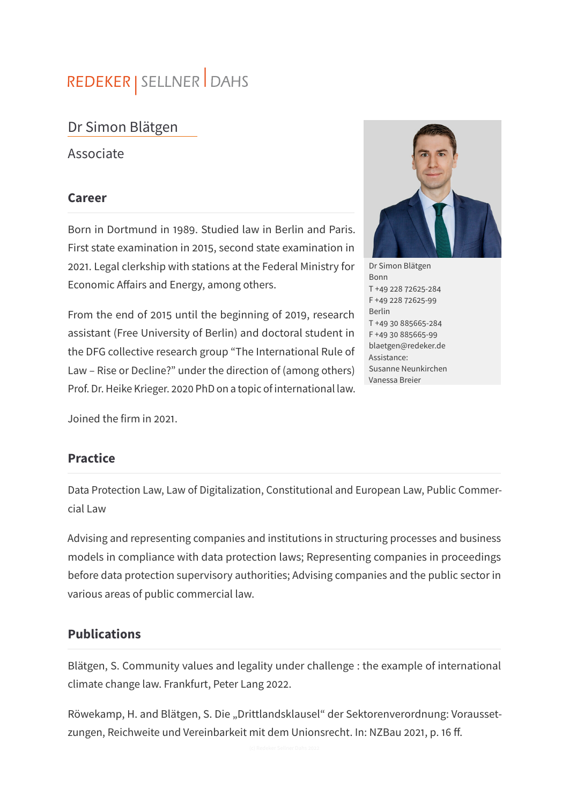# REDEKER | SELLNER DAHS

## Dr Simon Blätgen

Associate

#### **Career**

Born in Dortmund in 1989. Studied law in Berlin and Paris. First state examination in 2015, second state examination in 2021. Legal clerkship with stations at the Federal Ministry for Economic Affairs and Energy, among others.

From the end of 2015 until the beginning of 2019, research assistant (Free University of Berlin) and doctoral student in the DFG collective research group "The International Rule of Law – Rise or Decline?" under the direction of (among others) Prof. Dr. Heike Krieger. 2020 PhD on a topic of international law.

Joined the firm in 2021.

#### **Practice**

Data Protection Law, Law of Digitalization, Constitutional and European Law, Public Commercial Law

Advising and representing companies and institutions in structuring processes and business models in compliance with data protection laws; Representing companies in proceedings before data protection supervisory authorities; Advising companies and the public sector in various areas of public commercial law.

#### **Publications**

Blätgen, S. Community values and legality under challenge : the example of international climate change law. Frankfurt, Peter Lang 2022.

Röwekamp, H. and Blätgen, S. Die "Drittlandsklausel" der Sektorenverordnung: Voraussetzungen, Reichweite und Vereinbarkeit mit dem Unionsrecht. In: NZBau 2021, p. 16 ff.



Dr Simon Blätgen Bonn T +49 228 72625-284 F +49 228 72625-99 Berlin T +49 30 885665-284 F +49 30 885665-99 blaetgen@redeker.de Assistance: Susanne Neunkirchen Vanessa Breier